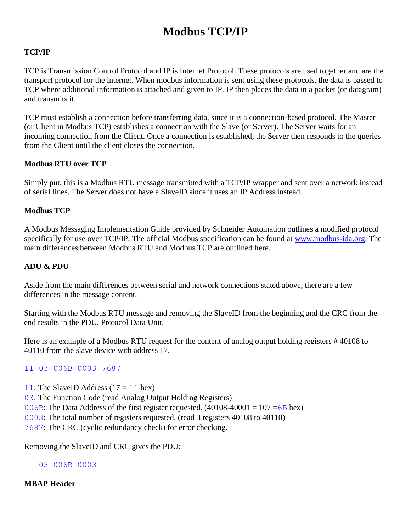# **Modbus TCP/IP**

### **TCP/IP**

TCP is Transmission Control Protocol and IP is Internet Protocol. These protocols are used together and are the transport protocol for the internet. When modbus information is sent using these protocols, the data is passed to TCP where additional information is attached and given to IP. IP then places the data in a packet (or datagram) and transmits it.

TCP must establish a connection before transferring data, since it is a connection-based protocol. The Master (or Client in Modbus TCP) establishes a connection with the Slave (or Server). The Server waits for an incoming connection from the Client. Once a connection is established, the Server then responds to the queries from the Client until the client closes the connection.

#### **Modbus RTU over TCP**

Simply put, this is a Modbus RTU message transmitted with a TCP/IP wrapper and sent over a network instead of serial lines. The Server does not have a SlaveID since it uses an IP Address instead.

## **Modbus TCP**

A Modbus Messaging Implementation Guide provided by Schneider Automation outlines a modified protocol specifically for use over TCP/IP. The official Modbus specification can be found at [www.modbus-ida.org.](http://www.modbus-ida.org/) The main differences between Modbus RTU and Modbus TCP are outlined here.

#### **ADU & PDU**

Aside from the main differences between serial and network connections stated above, there are a few differences in the message content.

Starting with the Modbus RTU message and removing the SlaveID from the beginning and the CRC from the end results in the PDU, Protocol Data Unit.

Here is an example of a Modbus RTU request for the content of analog output holding registers # 40108 to 40110 from the slave device with address 17.

#### 11 03 006B 0003 7687

11: The SlaveID Address  $(17 = 11$  hex)

03: The Function Code (read Analog Output Holding Registers)

006B: The Data Address of the first register requested.  $(40108-40001 = 107 = 6B$  hex)

0003: The total number of registers requested. (read 3 registers 40108 to 40110)

7687: The CRC (cyclic redundancy check) for error checking.

Removing the SlaveID and CRC gives the PDU:

03 006B 0003

**MBAP Header**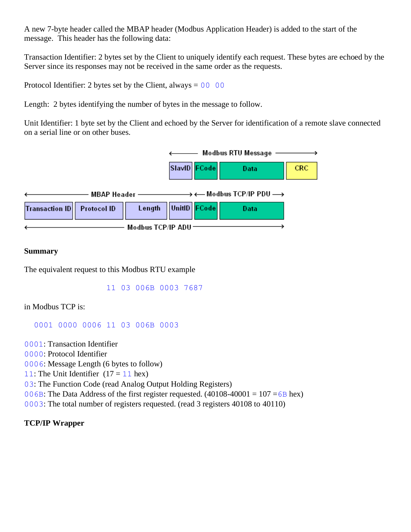A new 7-byte header called the MBAP header (Modbus Application Header) is added to the start of the message. This header has the following data:

Transaction Identifier: 2 bytes set by the Client to uniquely identify each request. These bytes are echoed by the Server since its responses may not be received in the same order as the requests.

Protocol Identifier: 2 bytes set by the Client, always =  $00\ 00$ 

Length: 2 bytes identifying the number of bytes in the message to follow.

Unit Identifier: 1 byte set by the Client and echoed by the Server for identification of a remote slave connected on a serial line or on other buses.



#### **Summary**

The equivalent request to this Modbus RTU example

11 03 006B 0003 7687

in Modbus TCP is:

0001 0000 0006 11 03 006B 0003

0001: Transaction Identifier

0000: Protocol Identifier

0006: Message Length (6 bytes to follow)

11: The Unit Identifier  $(17 = 11 \text{ hex})$ 

03: The Function Code (read Analog Output Holding Registers)

006B: The Data Address of the first register requested.  $(40108-40001 = 107 = 6B$  hex)

0003: The total number of registers requested. (read 3 registers 40108 to 40110)

#### **TCP/IP Wrapper**